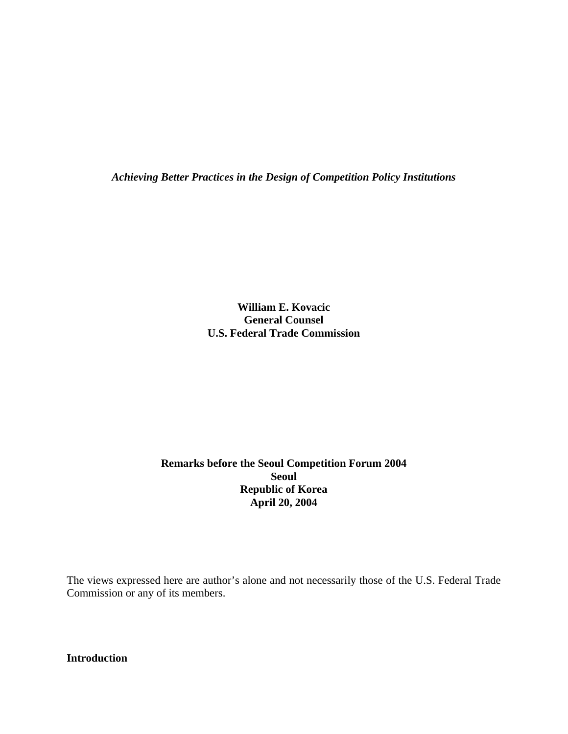*Achieving Better Practices in the Design of Competition Policy Institutions*

**William E. Kovacic General Counsel U.S. Federal Trade Commission**

## **Remarks before the Seoul Competition Forum 2004 Seoul Republic of Korea April 20, 2004**

The views expressed here are author's alone and not necessarily those of the U.S. Federal Trade Commission or any of its members.

**Introduction**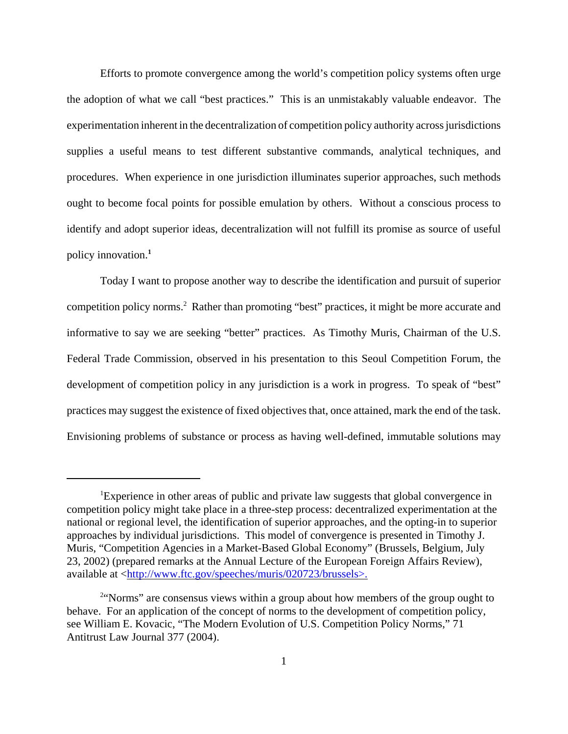Efforts to promote convergence among the world's competition policy systems often urge the adoption of what we call "best practices." This is an unmistakably valuable endeavor. The experimentation inherent in the decentralization of competition policy authority across jurisdictions supplies a useful means to test different substantive commands, analytical techniques, and procedures. When experience in one jurisdiction illuminates superior approaches, such methods ought to become focal points for possible emulation by others. Without a conscious process to identify and adopt superior ideas, decentralization will not fulfill its promise as source of useful policy innovation.**<sup>1</sup>**

Today I want to propose another way to describe the identification and pursuit of superior competition policy norms.<sup>2</sup> Rather than promoting "best" practices, it might be more accurate and informative to say we are seeking "better" practices. As Timothy Muris, Chairman of the U.S. Federal Trade Commission, observed in his presentation to this Seoul Competition Forum, the development of competition policy in any jurisdiction is a work in progress. To speak of "best" practices may suggest the existence of fixed objectives that, once attained, mark the end of the task. Envisioning problems of substance or process as having well-defined, immutable solutions may

<sup>&</sup>lt;sup>1</sup>Experience in other areas of public and private law suggests that global convergence in competition policy might take place in a three-step process: decentralized experimentation at the national or regional level, the identification of superior approaches, and the opting-in to superior approaches by individual jurisdictions. This model of convergence is presented in Timothy J. Muris, "Competition Agencies in a Market-Based Global Economy" (Brussels, Belgium, July 23, 2002) (prepared remarks at the Annual Lecture of the European Foreign Affairs Review), available at <http://www.ftc.gov/speeches/muris/020723/brussels>.

<sup>&</sup>lt;sup>2</sup> Norms" are consensus views within a group about how members of the group ought to behave. For an application of the concept of norms to the development of competition policy, see William E. Kovacic, "The Modern Evolution of U.S. Competition Policy Norms," 71 Antitrust Law Journal 377 (2004).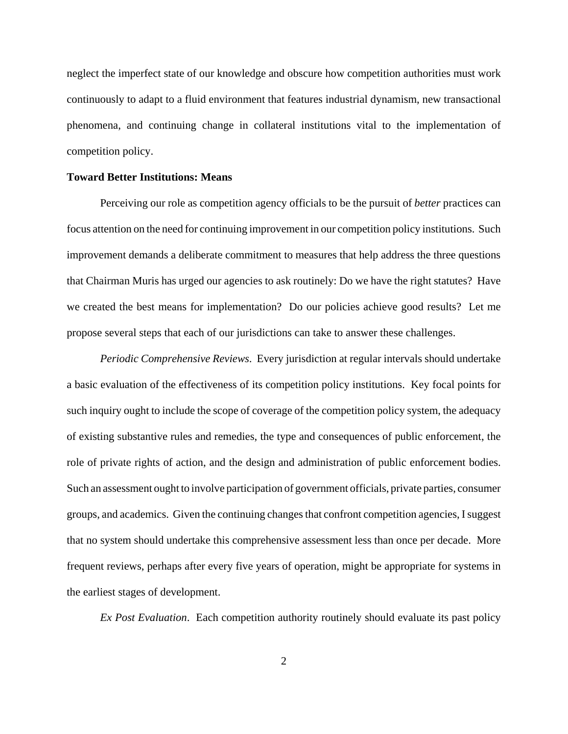neglect the imperfect state of our knowledge and obscure how competition authorities must work continuously to adapt to a fluid environment that features industrial dynamism, new transactional phenomena, and continuing change in collateral institutions vital to the implementation of competition policy.

## **Toward Better Institutions: Means**

Perceiving our role as competition agency officials to be the pursuit of *better* practices can focus attention on the need for continuing improvement in our competition policy institutions. Such improvement demands a deliberate commitment to measures that help address the three questions that Chairman Muris has urged our agencies to ask routinely: Do we have the right statutes? Have we created the best means for implementation? Do our policies achieve good results? Let me propose several steps that each of our jurisdictions can take to answer these challenges.

*Periodic Comprehensive Reviews*. Every jurisdiction at regular intervals should undertake a basic evaluation of the effectiveness of its competition policy institutions. Key focal points for such inquiry ought to include the scope of coverage of the competition policy system, the adequacy of existing substantive rules and remedies, the type and consequences of public enforcement, the role of private rights of action, and the design and administration of public enforcement bodies. Such an assessment ought to involve participation of government officials, private parties, consumer groups, and academics. Given the continuing changes that confront competition agencies, I suggest that no system should undertake this comprehensive assessment less than once per decade. More frequent reviews, perhaps after every five years of operation, might be appropriate for systems in the earliest stages of development.

*Ex Post Evaluation*. Each competition authority routinely should evaluate its past policy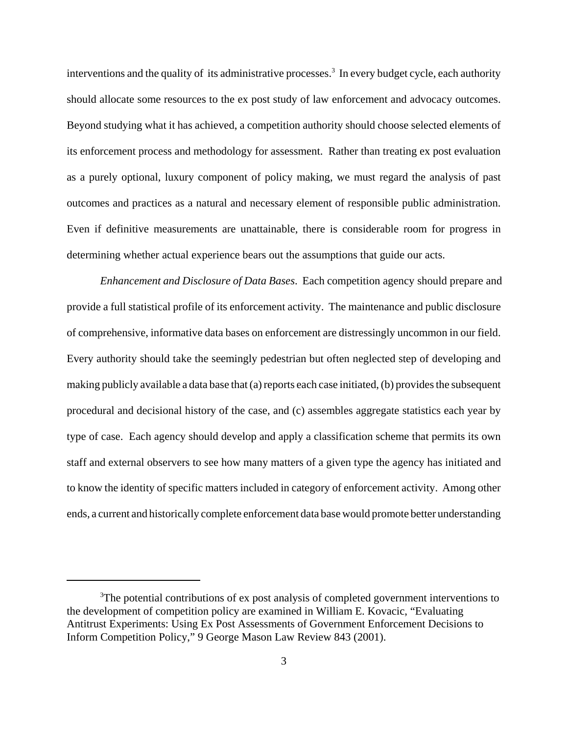interventions and the quality of its administrative processes.<sup>3</sup> In every budget cycle, each authority should allocate some resources to the ex post study of law enforcement and advocacy outcomes. Beyond studying what it has achieved, a competition authority should choose selected elements of its enforcement process and methodology for assessment. Rather than treating ex post evaluation as a purely optional, luxury component of policy making, we must regard the analysis of past outcomes and practices as a natural and necessary element of responsible public administration. Even if definitive measurements are unattainable, there is considerable room for progress in determining whether actual experience bears out the assumptions that guide our acts.

 *Enhancement and Disclosure of Data Bases*. Each competition agency should prepare and provide a full statistical profile of its enforcement activity. The maintenance and public disclosure of comprehensive, informative data bases on enforcement are distressingly uncommon in our field. Every authority should take the seemingly pedestrian but often neglected step of developing and making publicly available a data base that (a) reports each case initiated, (b) provides the subsequent procedural and decisional history of the case, and (c) assembles aggregate statistics each year by type of case. Each agency should develop and apply a classification scheme that permits its own staff and external observers to see how many matters of a given type the agency has initiated and to know the identity of specific matters included in category of enforcement activity. Among other ends, a current and historically complete enforcement data base would promote better understanding

<sup>&</sup>lt;sup>3</sup>The potential contributions of ex post analysis of completed government interventions to the development of competition policy are examined in William E. Kovacic, "Evaluating Antitrust Experiments: Using Ex Post Assessments of Government Enforcement Decisions to Inform Competition Policy," 9 George Mason Law Review 843 (2001).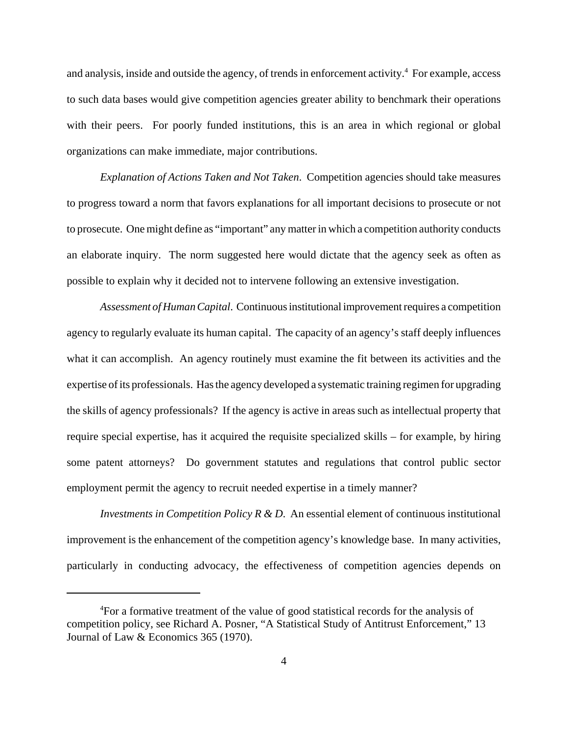and analysis, inside and outside the agency, of trends in enforcement activity.<sup>4</sup> For example, access to such data bases would give competition agencies greater ability to benchmark their operations with their peers. For poorly funded institutions, this is an area in which regional or global organizations can make immediate, major contributions.

*Explanation of Actions Taken and Not Taken*. Competition agencies should take measures to progress toward a norm that favors explanations for all important decisions to prosecute or not to prosecute. One might define as "important" any matter in which a competition authority conducts an elaborate inquiry. The norm suggested here would dictate that the agency seek as often as possible to explain why it decided not to intervene following an extensive investigation.

*Assessment of Human Capital*. Continuous institutional improvement requires a competition agency to regularly evaluate its human capital. The capacity of an agency's staff deeply influences what it can accomplish. An agency routinely must examine the fit between its activities and the expertise of its professionals. Has the agency developed a systematic training regimen for upgrading the skills of agency professionals? If the agency is active in areas such as intellectual property that require special expertise, has it acquired the requisite specialized skills – for example, by hiring some patent attorneys? Do government statutes and regulations that control public sector employment permit the agency to recruit needed expertise in a timely manner?

*Investments in Competition Policy R & D*. An essential element of continuous institutional improvement is the enhancement of the competition agency's knowledge base. In many activities, particularly in conducting advocacy, the effectiveness of competition agencies depends on

<sup>&</sup>lt;sup>4</sup>For a formative treatment of the value of good statistical records for the analysis of competition policy, see Richard A. Posner, "A Statistical Study of Antitrust Enforcement," 13 Journal of Law & Economics 365 (1970).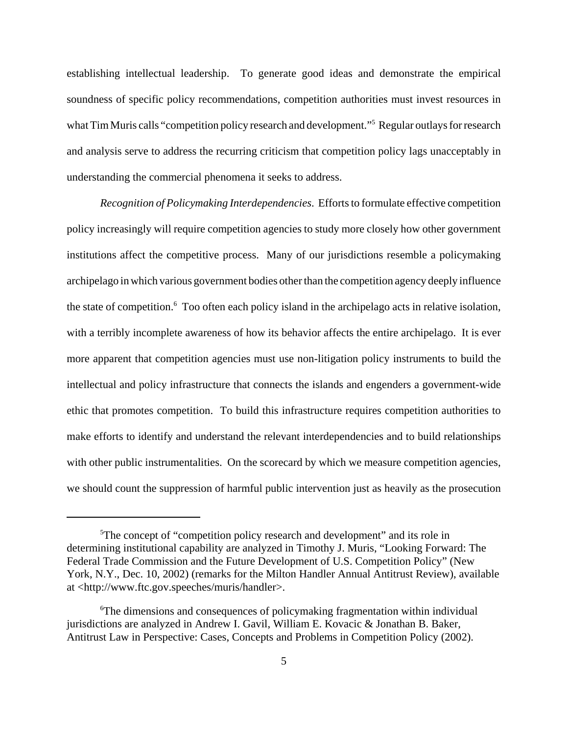establishing intellectual leadership. To generate good ideas and demonstrate the empirical soundness of specific policy recommendations, competition authorities must invest resources in what Tim Muris calls "competition policy research and development."<sup>5</sup> Regular outlays for research and analysis serve to address the recurring criticism that competition policy lags unacceptably in understanding the commercial phenomena it seeks to address.

*Recognition of Policymaking Interdependencies*. Efforts to formulate effective competition policy increasingly will require competition agencies to study more closely how other government institutions affect the competitive process. Many of our jurisdictions resemble a policymaking archipelago in which various government bodies other than the competition agency deeply influence the state of competition.<sup>6</sup> Too often each policy island in the archipelago acts in relative isolation, with a terribly incomplete awareness of how its behavior affects the entire archipelago. It is ever more apparent that competition agencies must use non-litigation policy instruments to build the intellectual and policy infrastructure that connects the islands and engenders a government-wide ethic that promotes competition. To build this infrastructure requires competition authorities to make efforts to identify and understand the relevant interdependencies and to build relationships with other public instrumentalities. On the scorecard by which we measure competition agencies, we should count the suppression of harmful public intervention just as heavily as the prosecution

<sup>&</sup>lt;sup>5</sup>The concept of "competition policy research and development" and its role in determining institutional capability are analyzed in Timothy J. Muris, "Looking Forward: The Federal Trade Commission and the Future Development of U.S. Competition Policy" (New York, N.Y., Dec. 10, 2002) (remarks for the Milton Handler Annual Antitrust Review), available at <http://www.ftc.gov.speeches/muris/handler>.

<sup>6</sup> The dimensions and consequences of policymaking fragmentation within individual jurisdictions are analyzed in Andrew I. Gavil, William E. Kovacic & Jonathan B. Baker, Antitrust Law in Perspective: Cases, Concepts and Problems in Competition Policy (2002).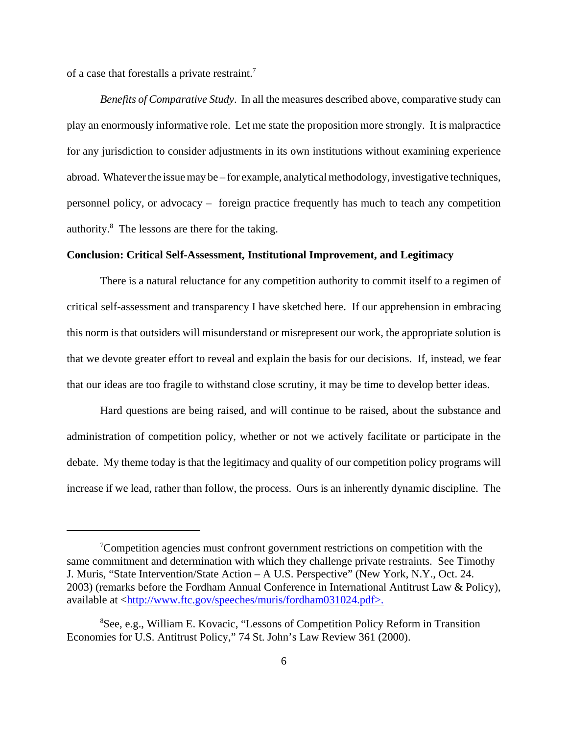of a case that forestalls a private restraint.7

*Benefits of Comparative Study*. In all the measures described above, comparative study can play an enormously informative role. Let me state the proposition more strongly. It is malpractice for any jurisdiction to consider adjustments in its own institutions without examining experience abroad. Whatever the issue may be – for example, analytical methodology, investigative techniques, personnel policy, or advocacy – foreign practice frequently has much to teach any competition authority.<sup>8</sup> The lessons are there for the taking.

## **Conclusion: Critical Self-Assessment, Institutional Improvement, and Legitimacy**

There is a natural reluctance for any competition authority to commit itself to a regimen of critical self-assessment and transparency I have sketched here. If our apprehension in embracing this norm is that outsiders will misunderstand or misrepresent our work, the appropriate solution is that we devote greater effort to reveal and explain the basis for our decisions. If, instead, we fear that our ideas are too fragile to withstand close scrutiny, it may be time to develop better ideas.

Hard questions are being raised, and will continue to be raised, about the substance and administration of competition policy, whether or not we actively facilitate or participate in the debate. My theme today is that the legitimacy and quality of our competition policy programs will increase if we lead, rather than follow, the process. Ours is an inherently dynamic discipline. The

<sup>&</sup>lt;sup>7</sup>Competition agencies must confront government restrictions on competition with the same commitment and determination with which they challenge private restraints. See Timothy J. Muris, "State Intervention/State Action – A U.S. Perspective" (New York, N.Y., Oct. 24. 2003) (remarks before the Fordham Annual Conference in International Antitrust Law & Policy), available at <http://www.ftc.gov/speeches/muris/fordham031024.pdf>.

<sup>8</sup> See, e.g., William E. Kovacic, "Lessons of Competition Policy Reform in Transition Economies for U.S. Antitrust Policy," 74 St. John's Law Review 361 (2000).